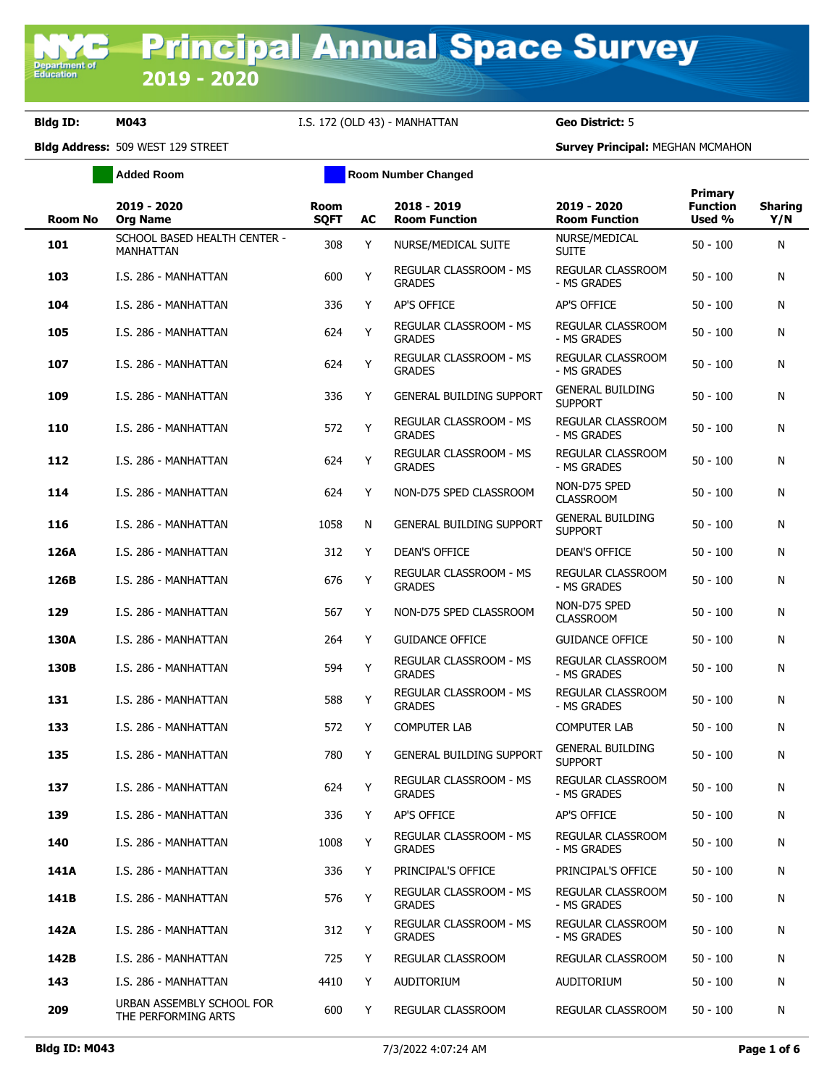**Department of**<br>Education

**Bldg ID: M043** I.S. 172 (OLD 43) - MANHATTAN **Geo District:** 5

|                | <b>Added Room</b>                                | <b>Room Number Changed</b> |    |                                                |                                           |                                      |                       |
|----------------|--------------------------------------------------|----------------------------|----|------------------------------------------------|-------------------------------------------|--------------------------------------|-----------------------|
| <b>Room No</b> | 2019 - 2020<br><b>Org Name</b>                   | <b>Room</b><br><b>SQFT</b> | AC | 2018 - 2019<br><b>Room Function</b>            | 2019 - 2020<br><b>Room Function</b>       | Primary<br><b>Function</b><br>Used % | <b>Sharing</b><br>Y/N |
| 101            | SCHOOL BASED HEALTH CENTER -<br><b>MANHATTAN</b> | 308                        | Y  | NURSE/MEDICAL SUITE                            | NURSE/MEDICAL<br><b>SUITE</b>             | $50 - 100$                           | N                     |
| 103            | I.S. 286 - MANHATTAN                             | 600                        | Y  | REGULAR CLASSROOM - MS<br><b>GRADES</b>        | REGULAR CLASSROOM<br>- MS GRADES          | $50 - 100$                           | N                     |
| 104            | I.S. 286 - MANHATTAN                             | 336                        | Y  | AP'S OFFICE                                    | AP'S OFFICE                               | $50 - 100$                           | N                     |
| 105            | I.S. 286 - MANHATTAN                             | 624                        | Y  | REGULAR CLASSROOM - MS<br><b>GRADES</b>        | <b>REGULAR CLASSROOM</b><br>- MS GRADES   | $50 - 100$                           | N                     |
| 107            | I.S. 286 - MANHATTAN                             | 624                        | Y  | <b>REGULAR CLASSROOM - MS</b><br><b>GRADES</b> | REGULAR CLASSROOM<br>- MS GRADES          | $50 - 100$                           | N                     |
| 109            | I.S. 286 - MANHATTAN                             | 336                        | Y  | <b>GENERAL BUILDING SUPPORT</b>                | <b>GENERAL BUILDING</b><br><b>SUPPORT</b> | $50 - 100$                           | N                     |
| 110            | I.S. 286 - MANHATTAN                             | 572                        | Y  | REGULAR CLASSROOM - MS<br><b>GRADES</b>        | REGULAR CLASSROOM<br>- MS GRADES          | $50 - 100$                           | N                     |
| 112            | I.S. 286 - MANHATTAN                             | 624                        | Y  | REGULAR CLASSROOM - MS<br><b>GRADES</b>        | REGULAR CLASSROOM<br>- MS GRADES          | $50 - 100$                           | N                     |
| 114            | I.S. 286 - MANHATTAN                             | 624                        | Y  | NON-D75 SPED CLASSROOM                         | NON-D75 SPED<br><b>CLASSROOM</b>          | $50 - 100$                           | N                     |
| 116            | I.S. 286 - MANHATTAN                             | 1058                       | N  | <b>GENERAL BUILDING SUPPORT</b>                | <b>GENERAL BUILDING</b><br><b>SUPPORT</b> | $50 - 100$                           | N                     |
| 126A           | I.S. 286 - MANHATTAN                             | 312                        | Y  | <b>DEAN'S OFFICE</b>                           | <b>DEAN'S OFFICE</b>                      | $50 - 100$                           | N                     |
| 126B           | I.S. 286 - MANHATTAN                             | 676                        | Y  | REGULAR CLASSROOM - MS<br><b>GRADES</b>        | REGULAR CLASSROOM<br>- MS GRADES          | $50 - 100$                           | N                     |
| 129            | I.S. 286 - MANHATTAN                             | 567                        | Y  | NON-D75 SPED CLASSROOM                         | NON-D75 SPED<br><b>CLASSROOM</b>          | $50 - 100$                           | N                     |
| 130A           | I.S. 286 - MANHATTAN                             | 264                        | Y  | <b>GUIDANCE OFFICE</b>                         | <b>GUIDANCE OFFICE</b>                    | $50 - 100$                           | N                     |
| 130B           | I.S. 286 - MANHATTAN                             | 594                        | Y  | REGULAR CLASSROOM - MS<br><b>GRADES</b>        | REGULAR CLASSROOM<br>- MS GRADES          | $50 - 100$                           | N                     |
| 131            | I.S. 286 - MANHATTAN                             | 588                        | Y  | REGULAR CLASSROOM - MS<br><b>GRADES</b>        | REGULAR CLASSROOM<br>- MS GRADES          | $50 - 100$                           | N                     |
| 133            | I.S. 286 - MANHATTAN                             | 572                        | Y  | <b>COMPUTER LAB</b>                            | <b>COMPUTER LAB</b>                       | $50 - 100$                           | N                     |
| 135            | I.S. 286 - MANHATTAN                             | 780                        | Y  | <b>GENERAL BUILDING SUPPORT</b>                | <b>GENERAL BUILDING</b><br><b>SUPPORT</b> | $50 - 100$                           | N                     |
| 137            | I.S. 286 - MANHATTAN                             | 624                        | Y  | REGULAR CLASSROOM - MS<br><b>GRADES</b>        | REGULAR CLASSROOM<br>- MS GRADES          | $50 - 100$                           | N                     |
| 139            | I.S. 286 - MANHATTAN                             | 336                        | Y  | AP'S OFFICE                                    | AP'S OFFICE                               | $50 - 100$                           | N                     |
| 140            | I.S. 286 - MANHATTAN                             | 1008                       | Y  | REGULAR CLASSROOM - MS<br><b>GRADES</b>        | REGULAR CLASSROOM<br>- MS GRADES          | $50 - 100$                           | N                     |
| 141A           | I.S. 286 - MANHATTAN                             | 336                        | Y  | PRINCIPAL'S OFFICE                             | PRINCIPAL'S OFFICE                        | $50 - 100$                           | N                     |
| 141B           | I.S. 286 - MANHATTAN                             | 576                        | Y  | <b>REGULAR CLASSROOM - MS</b><br><b>GRADES</b> | REGULAR CLASSROOM<br>- MS GRADES          | $50 - 100$                           | N                     |
| 142A           | I.S. 286 - MANHATTAN                             | 312                        | Y  | REGULAR CLASSROOM - MS<br><b>GRADES</b>        | REGULAR CLASSROOM<br>- MS GRADES          | $50 - 100$                           | N                     |
| 142B           | I.S. 286 - MANHATTAN                             | 725                        | Y  | REGULAR CLASSROOM                              | <b>REGULAR CLASSROOM</b>                  | $50 - 100$                           | N                     |
| 143            | I.S. 286 - MANHATTAN                             | 4410                       | Y  | AUDITORIUM                                     | AUDITORIUM                                | 50 - 100                             | N                     |
| 209            | URBAN ASSEMBLY SCHOOL FOR<br>THE PERFORMING ARTS | 600                        | Y  | REGULAR CLASSROOM                              | REGULAR CLASSROOM                         | $50 - 100$                           | N                     |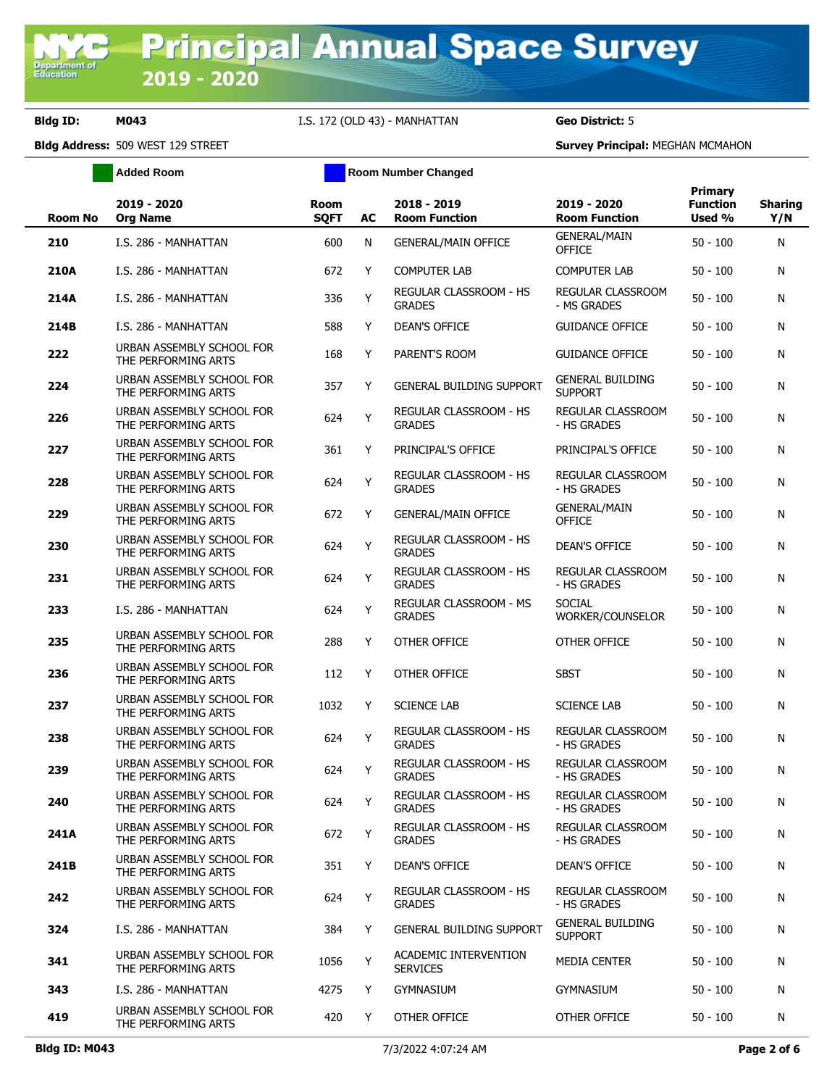**Bldg ID: M043** I.S. 172 (OLD 43) - MANHATTAN **Geo District:** 5

**Added Room Room Room Number Changed** 

| <b>Room No</b> | 2019 - 2020<br><b>Org Name</b>                   | Room<br><b>SQFT</b> | AC | 2018 - 2019<br><b>Room Function</b>            | 2019 - 2020<br><b>Room Function</b>       | <b>Primary</b><br><b>Function</b><br>Used % | <b>Sharing</b><br>Y/N |
|----------------|--------------------------------------------------|---------------------|----|------------------------------------------------|-------------------------------------------|---------------------------------------------|-----------------------|
| 210            | I.S. 286 - MANHATTAN                             | 600                 | N  | <b>GENERAL/MAIN OFFICE</b>                     | <b>GENERAL/MAIN</b><br><b>OFFICE</b>      | $50 - 100$                                  | N                     |
| 210A           | I.S. 286 - MANHATTAN                             | 672                 | Y  | <b>COMPUTER LAB</b>                            | <b>COMPUTER LAB</b>                       | $50 - 100$                                  | N                     |
| 214A           | I.S. 286 - MANHATTAN                             | 336                 | Y  | REGULAR CLASSROOM - HS<br><b>GRADES</b>        | REGULAR CLASSROOM<br>- MS GRADES          | $50 - 100$                                  | N                     |
| 214B           | I.S. 286 - MANHATTAN                             | 588                 | Y  | <b>DEAN'S OFFICE</b>                           | <b>GUIDANCE OFFICE</b>                    | $50 - 100$                                  | N                     |
| 222            | URBAN ASSEMBLY SCHOOL FOR<br>THE PERFORMING ARTS | 168                 | Y  | PARENT'S ROOM                                  | <b>GUIDANCE OFFICE</b>                    | $50 - 100$                                  | N                     |
| 224            | URBAN ASSEMBLY SCHOOL FOR<br>THE PERFORMING ARTS | 357                 | Y  | <b>GENERAL BUILDING SUPPORT</b>                | <b>GENERAL BUILDING</b><br><b>SUPPORT</b> | $50 - 100$                                  | N                     |
| 226            | URBAN ASSEMBLY SCHOOL FOR<br>THE PERFORMING ARTS | 624                 | Y  | REGULAR CLASSROOM - HS<br><b>GRADES</b>        | <b>REGULAR CLASSROOM</b><br>- HS GRADES   | $50 - 100$                                  | N                     |
| 227            | URBAN ASSEMBLY SCHOOL FOR<br>THE PERFORMING ARTS | 361                 | Y  | PRINCIPAL'S OFFICE                             | PRINCIPAL'S OFFICE                        | $50 - 100$                                  | N                     |
| 228            | URBAN ASSEMBLY SCHOOL FOR<br>THE PERFORMING ARTS | 624                 | Y  | REGULAR CLASSROOM - HS<br><b>GRADES</b>        | REGULAR CLASSROOM<br>- HS GRADES          | $50 - 100$                                  | N                     |
| 229            | URBAN ASSEMBLY SCHOOL FOR<br>THE PERFORMING ARTS | 672                 | Y  | <b>GENERAL/MAIN OFFICE</b>                     | <b>GENERAL/MAIN</b><br><b>OFFICE</b>      | $50 - 100$                                  | N                     |
| 230            | URBAN ASSEMBLY SCHOOL FOR<br>THE PERFORMING ARTS | 624                 | Y  | REGULAR CLASSROOM - HS<br><b>GRADES</b>        | <b>DEAN'S OFFICE</b>                      | $50 - 100$                                  | N                     |
| 231            | URBAN ASSEMBLY SCHOOL FOR<br>THE PERFORMING ARTS | 624                 | Y  | REGULAR CLASSROOM - HS<br><b>GRADES</b>        | REGULAR CLASSROOM<br>- HS GRADES          | $50 - 100$                                  | N                     |
| 233            | I.S. 286 - MANHATTAN                             | 624                 | Υ  | REGULAR CLASSROOM - MS<br><b>GRADES</b>        | <b>SOCIAL</b><br>WORKER/COUNSELOR         | $50 - 100$                                  | N                     |
| 235            | URBAN ASSEMBLY SCHOOL FOR<br>THE PERFORMING ARTS | 288                 | Y  | OTHER OFFICE                                   | OTHER OFFICE                              | $50 - 100$                                  | N                     |
| 236            | URBAN ASSEMBLY SCHOOL FOR<br>THE PERFORMING ARTS | 112                 | Y  | OTHER OFFICE                                   | SBST                                      | $50 - 100$                                  | N                     |
| 237            | URBAN ASSEMBLY SCHOOL FOR<br>THE PERFORMING ARTS | 1032                | Y  | <b>SCIENCE LAB</b>                             | <b>SCIENCE LAB</b>                        | $50 - 100$                                  | N                     |
| 238            | URBAN ASSEMBLY SCHOOL FOR<br>THE PERFORMING ARTS | 624                 | Y  | <b>REGULAR CLASSROOM - HS</b><br><b>GRADES</b> | REGULAR CLASSROOM<br>- HS GRADES          | $50 - 100$                                  | N                     |
| 239            | URBAN ASSEMBLY SCHOOL FOR<br>THE PERFORMING ARTS | 624                 | Y  | <b>REGULAR CLASSROOM - HS</b><br><b>GRADES</b> | REGULAR CLASSROOM<br>- HS GRADES          | $50 - 100$                                  | N                     |
| 240            | URBAN ASSEMBLY SCHOOL FOR<br>THE PERFORMING ARTS | 624                 | Y  | REGULAR CLASSROOM - HS<br><b>GRADES</b>        | REGULAR CLASSROOM<br>- HS GRADES          | $50 - 100$                                  | N                     |
| 241A           | URBAN ASSEMBLY SCHOOL FOR<br>THE PERFORMING ARTS | 672                 | Y  | REGULAR CLASSROOM - HS<br><b>GRADES</b>        | REGULAR CLASSROOM<br>- HS GRADES          | $50 - 100$                                  | N                     |
| 241B           | URBAN ASSEMBLY SCHOOL FOR<br>THE PERFORMING ARTS | 351                 | Y  | DEAN'S OFFICE                                  | DEAN'S OFFICE                             | $50 - 100$                                  | N                     |
| 242            | URBAN ASSEMBLY SCHOOL FOR<br>THE PERFORMING ARTS | 624                 | Y  | <b>REGULAR CLASSROOM - HS</b><br><b>GRADES</b> | REGULAR CLASSROOM<br>- HS GRADES          | $50 - 100$                                  | N                     |
| 324            | I.S. 286 - MANHATTAN                             | 384                 | Y  | <b>GENERAL BUILDING SUPPORT</b>                | <b>GENERAL BUILDING</b><br><b>SUPPORT</b> | $50 - 100$                                  | N                     |
| 341            | URBAN ASSEMBLY SCHOOL FOR<br>THE PERFORMING ARTS | 1056                | Y  | ACADEMIC INTERVENTION<br><b>SERVICES</b>       | MEDIA CENTER                              | $50 - 100$                                  | N                     |
| 343            | I.S. 286 - MANHATTAN                             | 4275                | Y  | <b>GYMNASIUM</b>                               | gymnasium                                 | $50 - 100$                                  | N                     |
| 419            | URBAN ASSEMBLY SCHOOL FOR<br>THE PERFORMING ARTS | 420                 | Y  | OTHER OFFICE                                   | OTHER OFFICE                              | $50 - 100$                                  | N                     |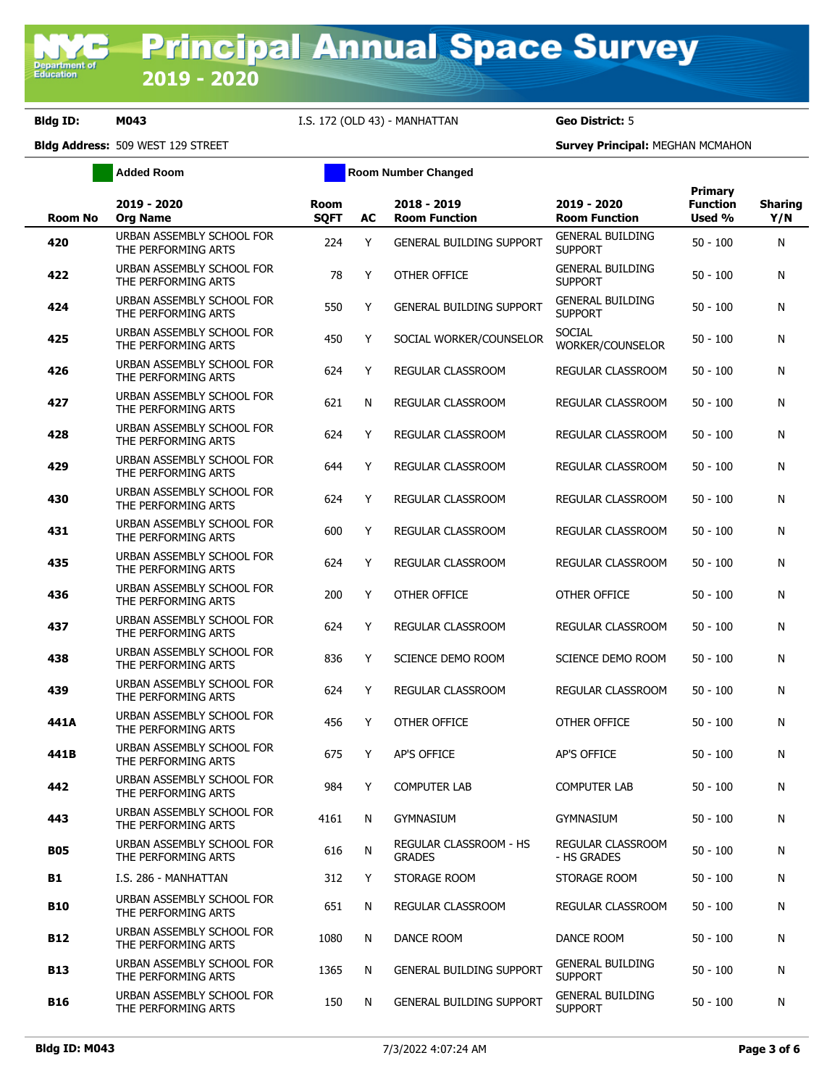**Bldg ID: M043** I.S. 172 (OLD 43) - MANHATTAN **Geo District:** 5

**Added Room Room Room Number Changed** 

| <b>Room No</b> | 2019 - 2020<br><b>Org Name</b>                   | <b>Room</b><br><b>SQFT</b> | AC | 2018 - 2019<br><b>Room Function</b>            | 2019 - 2020<br><b>Room Function</b>       | <b>Primary</b><br><b>Function</b><br>Used % | <b>Sharing</b><br>Y/N |
|----------------|--------------------------------------------------|----------------------------|----|------------------------------------------------|-------------------------------------------|---------------------------------------------|-----------------------|
| 420            | URBAN ASSEMBLY SCHOOL FOR<br>THE PERFORMING ARTS | 224                        | Y  | <b>GENERAL BUILDING SUPPORT</b>                | <b>GENERAL BUILDING</b><br><b>SUPPORT</b> | $50 - 100$                                  | N                     |
| 422            | URBAN ASSEMBLY SCHOOL FOR<br>THE PERFORMING ARTS | 78                         | Y  | OTHER OFFICE                                   | <b>GENERAL BUILDING</b><br><b>SUPPORT</b> | $50 - 100$                                  | N                     |
| 424            | URBAN ASSEMBLY SCHOOL FOR<br>THE PERFORMING ARTS | 550                        | Y  | <b>GENERAL BUILDING SUPPORT</b>                | <b>GENERAL BUILDING</b><br><b>SUPPORT</b> | $50 - 100$                                  | N                     |
| 425            | URBAN ASSEMBLY SCHOOL FOR<br>THE PERFORMING ARTS | 450                        | Y  | SOCIAL WORKER/COUNSELOR                        | <b>SOCIAL</b><br>WORKER/COUNSELOR         | $50 - 100$                                  | N                     |
| 426            | URBAN ASSEMBLY SCHOOL FOR<br>THE PERFORMING ARTS | 624                        | Y  | REGULAR CLASSROOM                              | REGULAR CLASSROOM                         | $50 - 100$                                  | N                     |
| 427            | URBAN ASSEMBLY SCHOOL FOR<br>THE PERFORMING ARTS | 621                        | N  | REGULAR CLASSROOM                              | REGULAR CLASSROOM                         | $50 - 100$                                  | N                     |
| 428            | URBAN ASSEMBLY SCHOOL FOR<br>THE PERFORMING ARTS | 624                        | Y  | REGULAR CLASSROOM                              | REGULAR CLASSROOM                         | $50 - 100$                                  | N                     |
| 429            | URBAN ASSEMBLY SCHOOL FOR<br>THE PERFORMING ARTS | 644                        | Y  | REGULAR CLASSROOM                              | <b>REGULAR CLASSROOM</b>                  | $50 - 100$                                  | N                     |
| 430            | URBAN ASSEMBLY SCHOOL FOR<br>THE PERFORMING ARTS | 624                        | Y  | REGULAR CLASSROOM                              | REGULAR CLASSROOM                         | $50 - 100$                                  | N                     |
| 431            | URBAN ASSEMBLY SCHOOL FOR<br>THE PERFORMING ARTS | 600                        | Y  | REGULAR CLASSROOM                              | REGULAR CLASSROOM                         | $50 - 100$                                  | N                     |
| 435            | URBAN ASSEMBLY SCHOOL FOR<br>THE PERFORMING ARTS | 624                        | Y  | REGULAR CLASSROOM                              | REGULAR CLASSROOM                         | $50 - 100$                                  | N                     |
| 436            | URBAN ASSEMBLY SCHOOL FOR<br>THE PERFORMING ARTS | 200                        | Y  | OTHER OFFICE                                   | OTHER OFFICE                              | $50 - 100$                                  | N                     |
| 437            | URBAN ASSEMBLY SCHOOL FOR<br>THE PERFORMING ARTS | 624                        | Y  | REGULAR CLASSROOM                              | REGULAR CLASSROOM                         | $50 - 100$                                  | N                     |
| 438            | URBAN ASSEMBLY SCHOOL FOR<br>THE PERFORMING ARTS | 836                        | Y  | SCIENCE DEMO ROOM                              | SCIENCE DEMO ROOM                         | $50 - 100$                                  | N                     |
| 439            | URBAN ASSEMBLY SCHOOL FOR<br>THE PERFORMING ARTS | 624                        | Y  | REGULAR CLASSROOM                              | REGULAR CLASSROOM                         | $50 - 100$                                  | N                     |
| 441A           | URBAN ASSEMBLY SCHOOL FOR<br>THE PERFORMING ARTS | 456                        | Y  | OTHER OFFICE                                   | OTHER OFFICE                              | $50 - 100$                                  | N                     |
| 441B           | URBAN ASSEMBLY SCHOOL FOR<br>THE PERFORMING ARTS | 675                        | Y  | AP'S OFFICE                                    | <b>AP'S OFFICE</b>                        | $50 - 100$                                  | N                     |
| 442            | URBAN ASSEMBLY SCHOOL FOR<br>THE PERFORMING ARTS | 984                        | Y  | <b>COMPUTER LAB</b>                            | <b>COMPUTER LAB</b>                       | $50 - 100$                                  | N                     |
| 443            | URBAN ASSEMBLY SCHOOL FOR<br>THE PERFORMING ARTS | 4161                       | N  | gymnasium                                      | GYMNASIUM                                 | $50 - 100$                                  | N                     |
| <b>B05</b>     | URBAN ASSEMBLY SCHOOL FOR<br>THE PERFORMING ARTS | 616                        | N  | <b>REGULAR CLASSROOM - HS</b><br><b>GRADES</b> | REGULAR CLASSROOM<br>- HS GRADES          | $50 - 100$                                  | N                     |
| B1             | I.S. 286 - MANHATTAN                             | 312                        | Y  | STORAGE ROOM                                   | STORAGE ROOM                              | $50 - 100$                                  | N                     |
| <b>B10</b>     | URBAN ASSEMBLY SCHOOL FOR<br>THE PERFORMING ARTS | 651                        | N  | REGULAR CLASSROOM                              | REGULAR CLASSROOM                         | $50 - 100$                                  | N                     |
| <b>B12</b>     | URBAN ASSEMBLY SCHOOL FOR<br>THE PERFORMING ARTS | 1080                       | N  | DANCE ROOM                                     | DANCE ROOM                                | $50 - 100$                                  | N                     |
| <b>B13</b>     | URBAN ASSEMBLY SCHOOL FOR<br>THE PERFORMING ARTS | 1365                       | N  | <b>GENERAL BUILDING SUPPORT</b>                | <b>GENERAL BUILDING</b><br><b>SUPPORT</b> | $50 - 100$                                  | N                     |
| B16            | URBAN ASSEMBLY SCHOOL FOR<br>THE PERFORMING ARTS | 150                        | N  | <b>GENERAL BUILDING SUPPORT</b>                | <b>GENERAL BUILDING</b><br><b>SUPPORT</b> | $50 - 100$                                  | N                     |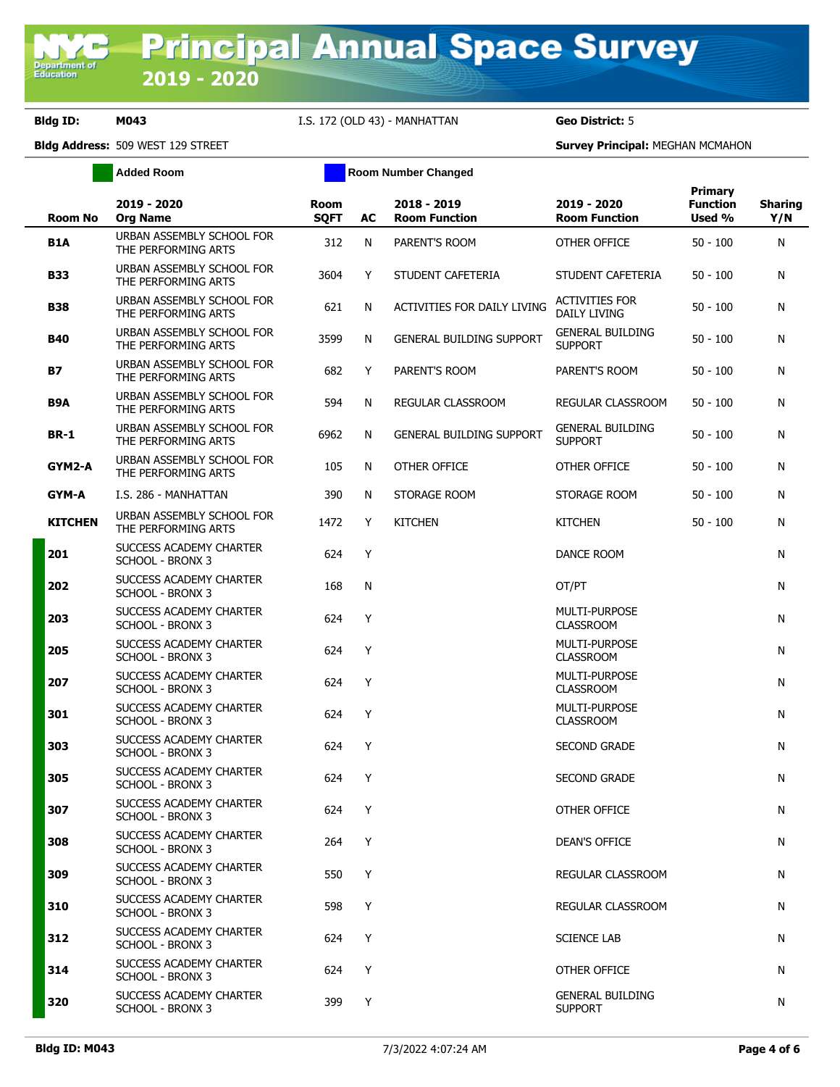**Bldg ID: M043** I.S. 172 (OLD 43) - MANHATTAN **Geo District:** 5

**Added Room Room Room Number Changed** 

|             | Room No        | 2019 - 2020<br><b>Org Name</b>                     | <b>Room</b><br><b>SQFT</b> | AC | 2018 - 2019<br><b>Room Function</b> | 2019 - 2020<br><b>Room Function</b>          | Primary<br><b>Function</b><br>Used % | <b>Sharing</b><br>Y/N |
|-------------|----------------|----------------------------------------------------|----------------------------|----|-------------------------------------|----------------------------------------------|--------------------------------------|-----------------------|
| <b>B1A</b>  |                | URBAN ASSEMBLY SCHOOL FOR<br>THE PERFORMING ARTS   | 312                        | N  | PARENT'S ROOM                       | OTHER OFFICE                                 | $50 - 100$                           | N                     |
| <b>B33</b>  |                | URBAN ASSEMBLY SCHOOL FOR<br>THE PERFORMING ARTS   | 3604                       | Y  | STUDENT CAFETERIA                   | STUDENT CAFETERIA                            | $50 - 100$                           | N                     |
| <b>B38</b>  |                | URBAN ASSEMBLY SCHOOL FOR<br>THE PERFORMING ARTS   | 621                        | N  | ACTIVITIES FOR DAILY LIVING         | <b>ACTIVITIES FOR</b><br><b>DAILY LIVING</b> | $50 - 100$                           | N                     |
| <b>B40</b>  |                | URBAN ASSEMBLY SCHOOL FOR<br>THE PERFORMING ARTS   | 3599                       | N  | <b>GENERAL BUILDING SUPPORT</b>     | <b>GENERAL BUILDING</b><br><b>SUPPORT</b>    | $50 - 100$                           | N                     |
| <b>B7</b>   |                | URBAN ASSEMBLY SCHOOL FOR<br>THE PERFORMING ARTS   | 682                        | Y  | PARENT'S ROOM                       | PARENT'S ROOM                                | $50 - 100$                           | N                     |
| B9A         |                | URBAN ASSEMBLY SCHOOL FOR<br>THE PERFORMING ARTS   | 594                        | N  | REGULAR CLASSROOM                   | REGULAR CLASSROOM                            | $50 - 100$                           | N                     |
| <b>BR-1</b> |                | URBAN ASSEMBLY SCHOOL FOR<br>THE PERFORMING ARTS   | 6962                       | N  | <b>GENERAL BUILDING SUPPORT</b>     | <b>GENERAL BUILDING</b><br><b>SUPPORT</b>    | $50 - 100$                           | N                     |
|             | GYM2-A         | URBAN ASSEMBLY SCHOOL FOR<br>THE PERFORMING ARTS   | 105                        | N  | OTHER OFFICE                        | OTHER OFFICE                                 | $50 - 100$                           | N                     |
|             | GYM-A          | I.S. 286 - MANHATTAN                               | 390                        | N  | STORAGE ROOM                        | STORAGE ROOM                                 | $50 - 100$                           | N                     |
|             | <b>KITCHEN</b> | URBAN ASSEMBLY SCHOOL FOR<br>THE PERFORMING ARTS   | 1472                       | Y  | <b>KITCHEN</b>                      | <b>KITCHEN</b>                               | $50 - 100$                           | N                     |
| 201         |                | SUCCESS ACADEMY CHARTER<br><b>SCHOOL - BRONX 3</b> | 624                        | Y  |                                     | DANCE ROOM                                   |                                      | N                     |
| 202         |                | SUCCESS ACADEMY CHARTER<br><b>SCHOOL - BRONX 3</b> | 168                        | N  |                                     | OT/PT                                        |                                      | N                     |
| 203         |                | SUCCESS ACADEMY CHARTER<br>SCHOOL - BRONX 3        | 624                        | Y  |                                     | <b>MULTI-PURPOSE</b><br><b>CLASSROOM</b>     |                                      | N                     |
| 205         |                | SUCCESS ACADEMY CHARTER<br>SCHOOL - BRONX 3        | 624                        | Y  |                                     | MULTI-PURPOSE<br><b>CLASSROOM</b>            |                                      | N                     |
| 207         |                | SUCCESS ACADEMY CHARTER<br>SCHOOL - BRONX 3        | 624                        | Y  |                                     | MULTI-PURPOSE<br><b>CLASSROOM</b>            |                                      | N                     |
| 301         |                | SUCCESS ACADEMY CHARTER<br>SCHOOL - BRONX 3        | 624                        | Y  |                                     | <b>MULTI-PURPOSE</b><br><b>CLASSROOM</b>     |                                      | N                     |
| 303         |                | SUCCESS ACADEMY CHARTER<br>SCHOOL - BRONX 3        | 624                        | Y  |                                     | <b>SECOND GRADE</b>                          |                                      | N                     |
| 305         |                | SUCCESS ACADEMY CHARTER<br><b>SCHOOL - BRONX 3</b> | 624                        | Y  |                                     | <b>SECOND GRADE</b>                          |                                      | N                     |
| 307         |                | SUCCESS ACADEMY CHARTER<br>SCHOOL - BRONX 3        | 624                        | Y  |                                     | OTHER OFFICE                                 |                                      | N                     |
| 308         |                | SUCCESS ACADEMY CHARTER<br>SCHOOL - BRONX 3        | 264                        | Y  |                                     | DEAN'S OFFICE                                |                                      | N                     |
| 309         |                | SUCCESS ACADEMY CHARTER<br>SCHOOL - BRONX 3        | 550                        | Y  |                                     | REGULAR CLASSROOM                            |                                      | N                     |
| 310         |                | SUCCESS ACADEMY CHARTER<br>SCHOOL - BRONX 3        | 598                        | Y  |                                     | REGULAR CLASSROOM                            |                                      | N                     |
| 312         |                | SUCCESS ACADEMY CHARTER<br>SCHOOL - BRONX 3        | 624                        | Y  |                                     | <b>SCIENCE LAB</b>                           |                                      | N                     |
| 314         |                | SUCCESS ACADEMY CHARTER<br>SCHOOL - BRONX 3        | 624                        | Y  |                                     | OTHER OFFICE                                 |                                      | N                     |
| 320         |                | SUCCESS ACADEMY CHARTER<br>SCHOOL - BRONX 3        | 399                        | Y  |                                     | <b>GENERAL BUILDING</b><br><b>SUPPORT</b>    |                                      | N                     |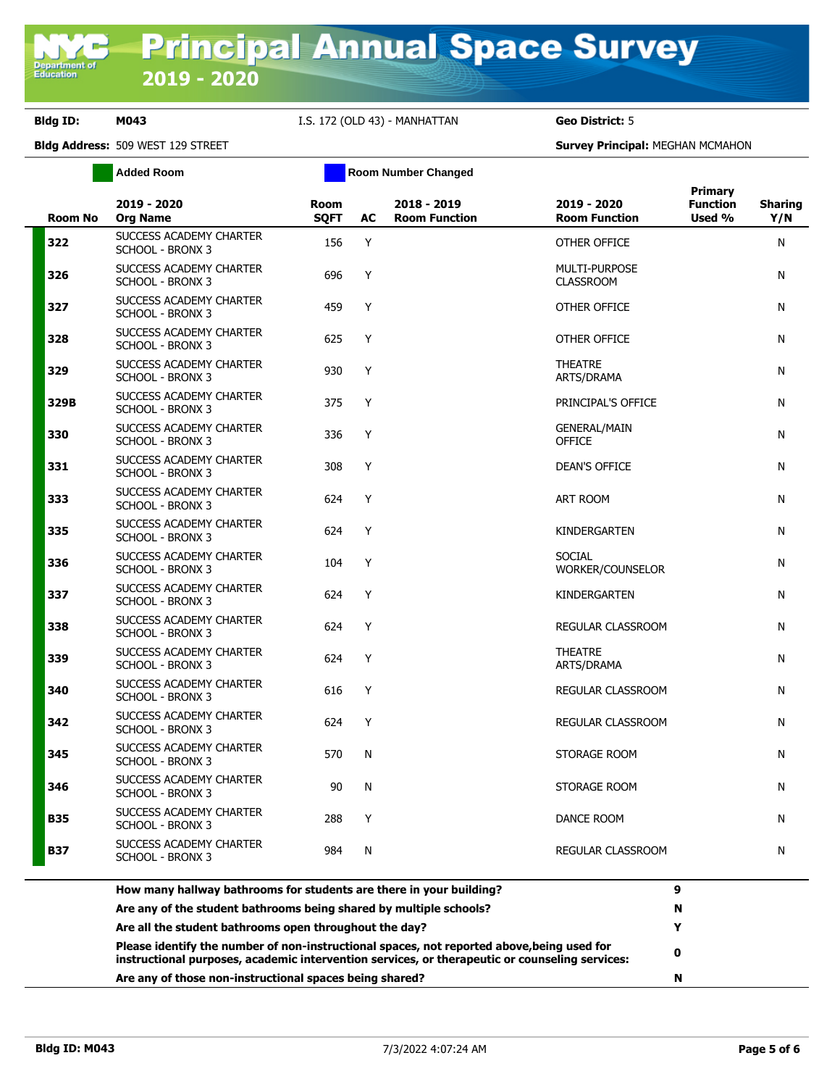**Department o**<br>Education

## **Bldg ID: M043** I.S. 172 (OLD 43) - MANHATTAN **Geo District:** 5

|                | <b>Added Room</b>                                  |                            |    | <b>Room Number Changed</b>          |                                          |                                      |                       |
|----------------|----------------------------------------------------|----------------------------|----|-------------------------------------|------------------------------------------|--------------------------------------|-----------------------|
| <b>Room No</b> | 2019 - 2020<br><b>Org Name</b>                     | <b>Room</b><br><b>SQFT</b> | AC | 2018 - 2019<br><b>Room Function</b> | 2019 - 2020<br><b>Room Function</b>      | Primary<br><b>Function</b><br>Used % | <b>Sharing</b><br>Y/N |
| 322            | SUCCESS ACADEMY CHARTER<br><b>SCHOOL - BRONX 3</b> | 156                        | Y  |                                     | OTHER OFFICE                             |                                      | N                     |
| 326            | SUCCESS ACADEMY CHARTER<br><b>SCHOOL - BRONX 3</b> | 696                        | Y  |                                     | <b>MULTI-PURPOSE</b><br><b>CLASSROOM</b> |                                      | Ν                     |
| 327            | SUCCESS ACADEMY CHARTER<br><b>SCHOOL - BRONX 3</b> | 459                        | Y  |                                     | OTHER OFFICE                             |                                      | N                     |
| 328            | SUCCESS ACADEMY CHARTER<br><b>SCHOOL - BRONX 3</b> | 625                        | Y  |                                     | OTHER OFFICE                             |                                      | N                     |
| 329            | SUCCESS ACADEMY CHARTER<br><b>SCHOOL - BRONX 3</b> | 930                        | Y  |                                     | <b>THEATRE</b><br>ARTS/DRAMA             |                                      | N                     |
| 329B           | SUCCESS ACADEMY CHARTER<br><b>SCHOOL - BRONX 3</b> | 375                        | Υ  |                                     | PRINCIPAL'S OFFICE                       |                                      | N                     |
| 330            | SUCCESS ACADEMY CHARTER<br><b>SCHOOL - BRONX 3</b> | 336                        | Y  |                                     | <b>GENERAL/MAIN</b><br><b>OFFICE</b>     |                                      | N                     |
| 331            | SUCCESS ACADEMY CHARTER<br><b>SCHOOL - BRONX 3</b> | 308                        | Y  |                                     | <b>DEAN'S OFFICE</b>                     |                                      | Ν                     |
| 333            | SUCCESS ACADEMY CHARTER<br><b>SCHOOL - BRONX 3</b> | 624                        | Y  |                                     | ART ROOM                                 |                                      | N                     |
| 335            | SUCCESS ACADEMY CHARTER<br>SCHOOL - BRONX 3        | 624                        | Y  |                                     | KINDERGARTEN                             |                                      | N                     |
| 336            | SUCCESS ACADEMY CHARTER<br><b>SCHOOL - BRONX 3</b> | 104                        | Y  |                                     | SOCIAL<br>WORKER/COUNSELOR               |                                      | N                     |
| 337            | SUCCESS ACADEMY CHARTER<br>SCHOOL - BRONX 3        | 624                        | Y  |                                     | KINDERGARTEN                             |                                      | N                     |
| 338            | SUCCESS ACADEMY CHARTER<br><b>SCHOOL - BRONX 3</b> | 624                        | Y  |                                     | REGULAR CLASSROOM                        |                                      | N                     |
| 339            | SUCCESS ACADEMY CHARTER<br><b>SCHOOL - BRONX 3</b> | 624                        | Y  |                                     | <b>THEATRE</b><br>ARTS/DRAMA             |                                      | N                     |
| 340            | SUCCESS ACADEMY CHARTER<br><b>SCHOOL - BRONX 3</b> | 616                        | Y  |                                     | REGULAR CLASSROOM                        |                                      | N                     |
| 342            | SUCCESS ACADEMY CHARTER<br><b>SCHOOL - BRONX 3</b> | 624                        | Υ  |                                     | REGULAR CLASSROOM                        |                                      | N                     |
| 345            | SUCCESS ACADEMY CHARTER<br><b>SCHOOL - BRONX 3</b> | 570                        | N  |                                     | STORAGE ROOM                             |                                      | N                     |
| 346            | SUCCESS ACADEMY CHARTER<br><b>SCHOOL - BRONX 3</b> | 90                         | N  |                                     | STORAGE ROOM                             |                                      | Ν                     |
| <b>B35</b>     | SUCCESS ACADEMY CHARTER<br><b>SCHOOL - BRONX 3</b> | 288                        | Y  |                                     | DANCE ROOM                               |                                      | N                     |
| <b>B37</b>     | SUCCESS ACADEMY CHARTER<br><b>SCHOOL - BRONX 3</b> | 984                        | N  |                                     | REGULAR CLASSROOM                        |                                      | Ν                     |

| How many hallway bathrooms for students are there in your building?                                                                                                                          | О  |
|----------------------------------------------------------------------------------------------------------------------------------------------------------------------------------------------|----|
| Are any of the student bathrooms being shared by multiple schools?                                                                                                                           | -N |
| Are all the student bathrooms open throughout the day?                                                                                                                                       |    |
| Please identify the number of non-instructional spaces, not reported above, being used for<br>instructional purposes, academic intervention services, or therapeutic or counseling services: | 0  |
| Are any of those non-instructional spaces being shared?                                                                                                                                      | N  |